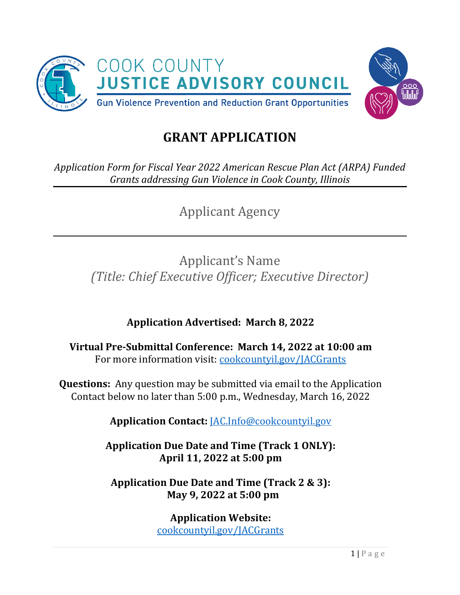



*Application Form for Fiscal Year 2022 American Rescue Plan Act (ARPA) Funded Grants addressing Gun Violence in Cook County, Illinois*

Applicant Agency

Applicant's Name *(Title: Chief Executive Officer; Executive Director)*

**Application Advertised: March 8, 2022** 

**Virtual Pre-Submittal Conference: March 14, 2022 at 10:00 am** For more information visit: [cookcountyil.gov/JACGrants](https://www.cookcountyil.gov/JACGrants)

**Questions:** Any question may be submitted via email to the Application Contact below no later than 5:00 p.m., Wednesday, March 16, 2022

**Application Contact:** [JAC.Info@cookcountyil.gov](mailto:JAC.Info@cookcountyil.gov)

**Application Due Date and Time (Track 1 ONLY): April 11, 2022 at 5:00 pm**

**Application Due Date and Time (Track 2 & 3): May 9, 2022 at 5:00 pm**

> **Application Website:**  [cookcountyil.gov/JACGrants](https://www.cookcountyil.gov/JACGrants)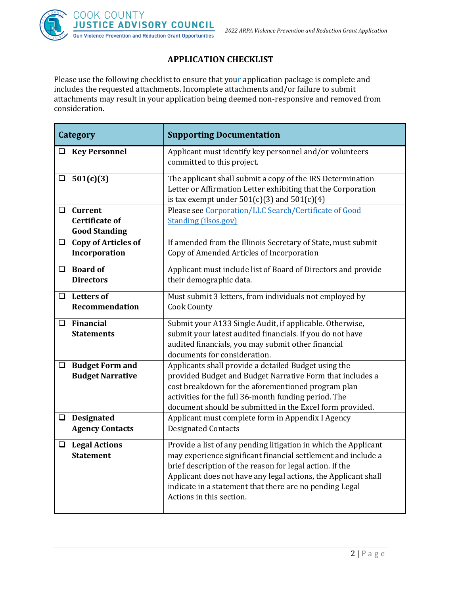

## **APPLICATION CHECKLIST**

Please use the following checklist to ensure that your application package is complete and includes the requested attachments. Incomplete attachments and/or failure to submit attachments may result in your application being deemed non-responsive and removed from consideration.

| Category                                                                  | <b>Supporting Documentation</b>                                                                                                                                                                                                                                                                                                                       |  |  |  |
|---------------------------------------------------------------------------|-------------------------------------------------------------------------------------------------------------------------------------------------------------------------------------------------------------------------------------------------------------------------------------------------------------------------------------------------------|--|--|--|
| □ Key Personnel                                                           | Applicant must identify key personnel and/or volunteers<br>committed to this project.                                                                                                                                                                                                                                                                 |  |  |  |
| 501(c)(3)<br>□                                                            | The applicant shall submit a copy of the IRS Determination<br>Letter or Affirmation Letter exhibiting that the Corporation<br>is tax exempt under $501(c)(3)$ and $501(c)(4)$                                                                                                                                                                         |  |  |  |
| <b>Current</b><br>$\Box$<br><b>Certificate of</b><br><b>Good Standing</b> | Please see Corporation/LLC Search/Certificate of Good<br><b>Standing (ilsos.gov)</b>                                                                                                                                                                                                                                                                  |  |  |  |
| $\Box$ Copy of Articles of<br>Incorporation                               | If amended from the Illinois Secretary of State, must submit<br>Copy of Amended Articles of Incorporation                                                                                                                                                                                                                                             |  |  |  |
| $\Box$ Board of<br><b>Directors</b>                                       | Applicant must include list of Board of Directors and provide<br>their demographic data.                                                                                                                                                                                                                                                              |  |  |  |
| <b>Letters of</b><br>$\Box$<br><b>Recommendation</b>                      | Must submit 3 letters, from individuals not employed by<br><b>Cook County</b>                                                                                                                                                                                                                                                                         |  |  |  |
| $\Box$ Financial<br><b>Statements</b>                                     | Submit your A133 Single Audit, if applicable. Otherwise,<br>submit your latest audited financials. If you do not have<br>audited financials, you may submit other financial<br>documents for consideration.                                                                                                                                           |  |  |  |
| $\Box$ Budget Form and<br><b>Budget Narrative</b>                         | Applicants shall provide a detailed Budget using the<br>provided Budget and Budget Narrative Form that includes a<br>cost breakdown for the aforementioned program plan<br>activities for the full 36-month funding period. The<br>document should be submitted in the Excel form provided.                                                           |  |  |  |
| <b>Designated</b><br>$\Box$<br><b>Agency Contacts</b>                     | Applicant must complete form in Appendix I Agency<br><b>Designated Contacts</b>                                                                                                                                                                                                                                                                       |  |  |  |
| $\Box$ Legal Actions<br><b>Statement</b>                                  | Provide a list of any pending litigation in which the Applicant<br>may experience significant financial settlement and include a<br>brief description of the reason for legal action. If the<br>Applicant does not have any legal actions, the Applicant shall<br>indicate in a statement that there are no pending Legal<br>Actions in this section. |  |  |  |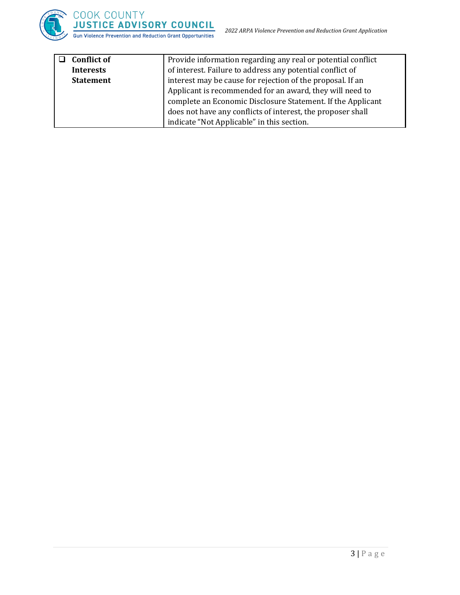

| <b>Conflict of</b> | Provide information regarding any real or potential conflict |  |  |  |
|--------------------|--------------------------------------------------------------|--|--|--|
| <b>Interests</b>   | of interest. Failure to address any potential conflict of    |  |  |  |
| <b>Statement</b>   | interest may be cause for rejection of the proposal. If an   |  |  |  |
|                    | Applicant is recommended for an award, they will need to     |  |  |  |
|                    | complete an Economic Disclosure Statement. If the Applicant  |  |  |  |
|                    | does not have any conflicts of interest, the proposer shall  |  |  |  |
|                    | indicate "Not Applicable" in this section.                   |  |  |  |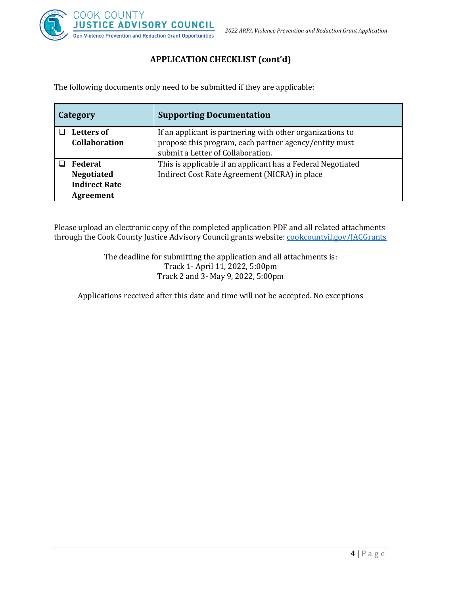

## **APPLICATION CHECKLIST (cont'd)**

The following documents only need to be submitted if they are applicable:

| Category             | <b>Supporting Documentation</b>                             |  |
|----------------------|-------------------------------------------------------------|--|
| <b>Letters of</b>    | If an applicant is partnering with other organizations to   |  |
| <b>Collaboration</b> | propose this program, each partner agency/entity must       |  |
|                      | submit a Letter of Collaboration.                           |  |
| <b>Federal</b>       | This is applicable if an applicant has a Federal Negotiated |  |
| <b>Negotiated</b>    | Indirect Cost Rate Agreement (NICRA) in place               |  |
| <b>Indirect Rate</b> |                                                             |  |
| <b>Agreement</b>     |                                                             |  |

Please upload an electronic copy of the completed application PDF and all related attachments through the Cook County Justice Advisory Council grants website: [cookcountyil.gov/JACGrants](https://www.cookcountyil.gov/JACGrants)

> The deadline for submitting the application and all attachments is: Track 1- April 11, 2022, 5:00pm Track 2 and 3- May 9, 2022, 5:00pm

Applications received after this date and time will not be accepted. No exceptions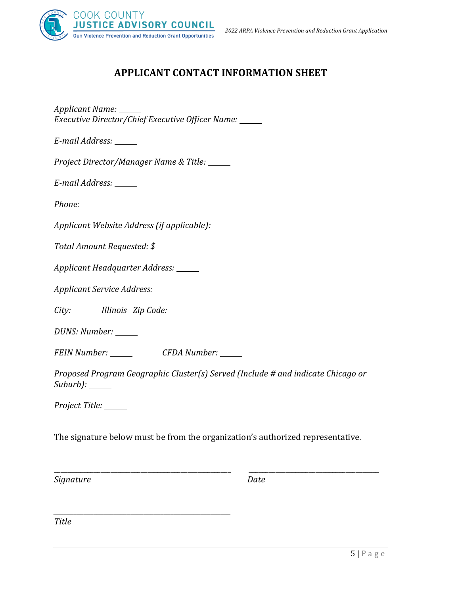

# **APPLICANT CONTACT INFORMATION SHEET**

*Applicant Name: Executive Director/Chief Executive Officer Name:*

*E-mail Address:*

*Project Director/Manager Name & Title:* 

*E-mail Address:*

*Phone:*

*Applicant Website Address (if applicable):*

*Total Amount Requested: \$*

*Applicant Headquarter Address:*

*Applicant Service Address:*

*City: Illinois Zip Code:*

*DUNS: Number:*

*FEIN Number: CFDA Number:*

*\_\_\_\_\_\_\_\_\_\_\_\_\_\_\_\_\_\_\_\_\_\_\_\_\_\_\_\_\_\_\_\_\_\_\_\_\_\_\_\_\_\_\_\_\_\_\_\_\_\_\_\_\_*

*Proposed Program Geographic Cluster(s) Served (Include # and indicate Chicago or Suburb):*

*Project Title:*

The signature below must be from the organization's authorized representative.

\_\_\_\_\_\_\_\_\_\_\_\_\_\_\_\_\_\_\_\_\_\_\_\_\_\_\_\_\_\_\_\_\_\_\_\_\_\_\_\_\_\_\_\_\_\_\_\_\_\_\_\_\_ \_\_\_\_\_\_\_\_\_\_\_\_\_\_\_\_\_\_\_\_\_\_\_\_\_\_\_\_\_\_\_\_\_\_\_\_\_\_\_

*Signature Date*

*Title*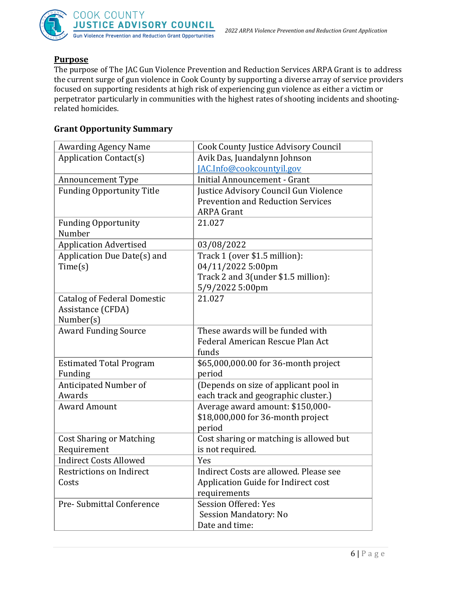

### **Purpose**

The purpose of The JAC Gun Violence Prevention and Reduction Services ARPA Grant is to address the current surge of gun violence in Cook County by supporting a diverse array of service providers focused on supporting residents at high risk of experiencing gun violence as either a victim or perpetrator particularly in communities with the highest rates of shooting incidents and shootingrelated homicides.

## **Grant Opportunity Summary**

| <b>Awarding Agency Name</b>        | <b>Cook County Justice Advisory Council</b> |  |
|------------------------------------|---------------------------------------------|--|
| <b>Application Contact(s)</b>      | Avik Das, Juandalynn Johnson                |  |
|                                    | JAC.Info@cookcountyil.gov                   |  |
| <b>Announcement Type</b>           | <b>Initial Announcement - Grant</b>         |  |
| <b>Funding Opportunity Title</b>   | Justice Advisory Council Gun Violence       |  |
|                                    | <b>Prevention and Reduction Services</b>    |  |
|                                    | <b>ARPA Grant</b>                           |  |
| <b>Funding Opportunity</b>         | 21.027                                      |  |
| Number                             |                                             |  |
| <b>Application Advertised</b>      | 03/08/2022                                  |  |
| Application Due Date(s) and        | Track 1 (over \$1.5 million):               |  |
| Time(s)                            | 04/11/2022 5:00pm                           |  |
|                                    | Track 2 and 3(under \$1.5 million):         |  |
|                                    | 5/9/2022 5:00pm                             |  |
| <b>Catalog of Federal Domestic</b> | 21.027                                      |  |
| Assistance (CFDA)                  |                                             |  |
| Number(s)                          |                                             |  |
| <b>Award Funding Source</b>        | These awards will be funded with            |  |
|                                    | Federal American Rescue Plan Act            |  |
|                                    | funds                                       |  |
| <b>Estimated Total Program</b>     | \$65,000,000.00 for 36-month project        |  |
| Funding                            | period                                      |  |
| Anticipated Number of              | (Depends on size of applicant pool in       |  |
| Awards                             | each track and geographic cluster.)         |  |
| <b>Award Amount</b>                | Average award amount: \$150,000-            |  |
|                                    | \$18,000,000 for 36-month project           |  |
|                                    | period                                      |  |
| <b>Cost Sharing or Matching</b>    | Cost sharing or matching is allowed but     |  |
| Requirement                        | is not required.                            |  |
| <b>Indirect Costs Allowed</b>      | Yes                                         |  |
| Restrictions on Indirect           | Indirect Costs are allowed. Please see      |  |
| Costs                              | Application Guide for Indirect cost         |  |
|                                    | requirements                                |  |
| Pre- Submittal Conference          | Session Offered: Yes                        |  |
|                                    | Session Mandatory: No                       |  |
|                                    | Date and time:                              |  |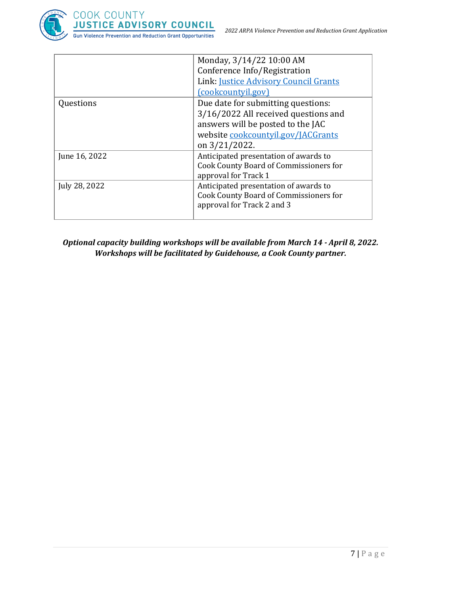



|               | Monday, 3/14/22 10:00 AM               |  |
|---------------|----------------------------------------|--|
|               | Conference Info/Registration           |  |
|               | Link: Justice Advisory Council Grants  |  |
|               | (cookcountyil.gov)                     |  |
| Questions     | Due date for submitting questions:     |  |
|               | 3/16/2022 All received questions and   |  |
|               | answers will be posted to the JAC      |  |
|               | website cookcountyil.gov/JACGrants     |  |
|               | on $3/21/2022$ .                       |  |
| June 16, 2022 | Anticipated presentation of awards to  |  |
|               | Cook County Board of Commissioners for |  |
|               | approval for Track 1                   |  |
| July 28, 2022 | Anticipated presentation of awards to  |  |
|               | Cook County Board of Commissioners for |  |
|               | approval for Track 2 and 3             |  |
|               |                                        |  |

*Optional capacity building workshops will be available from March 14 - April 8, 2022. Workshops will be facilitated by Guidehouse, a Cook County partner.*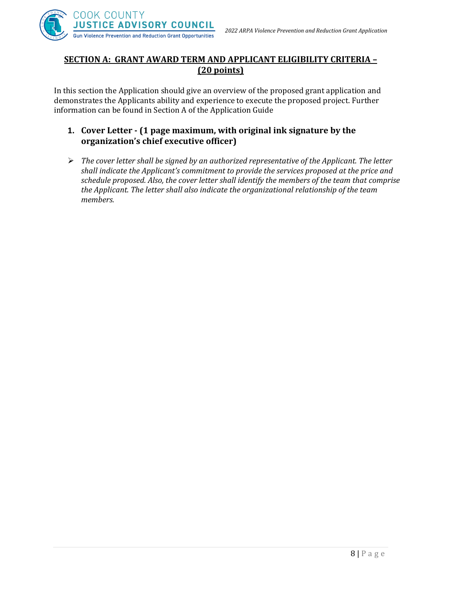

## **SECTION A: GRANT AWARD TERM AND APPLICANT ELIGIBILITY CRITERIA – (20 points)**

In this section the Application should give an overview of the proposed grant application and demonstrates the Applicants ability and experience to execute the proposed project. Further information can be found in Section A of the Application Guide

- **1. Cover Letter - (1 page maximum, with original ink signature by the organization's chief executive officer)**
- ➢ *The cover letter shall be signed by an authorized representative of the Applicant. The letter shall indicate the Applicant's commitment to provide the services proposed at the price and schedule proposed. Also, the cover letter shall identify the members of the team that comprise the Applicant. The letter shall also indicate the organizational relationship of the team members.*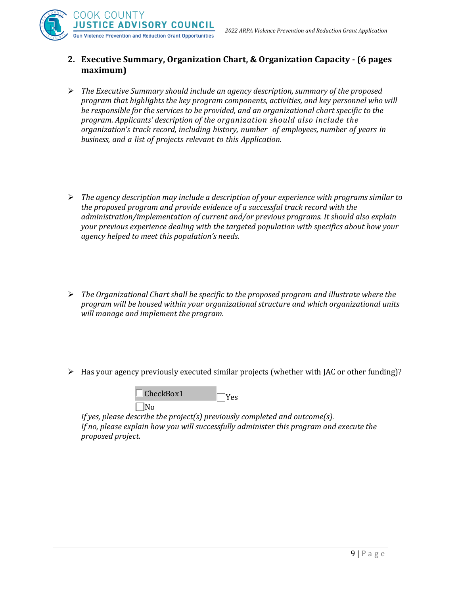*2022 ARPA Violence Prevention and Reduction Grant Application*



## **2. Executive Summary, Organization Chart, & Organization Capacity - (6 pages maximum)**

- ➢ *The Executive Summary should include an agency description, summary of the proposed program that highlights the key program components, activities, and key personnel who will be responsible for the services to be provided, and an organizational chart specific to the program. Applicants' description of the organization should also include the organization's track record, including history, number of employees, number of years in business, and a list of projects relevant to this Application.*
- ➢ *The agency description may include a description of your experience with programs similar to the proposed program and provide evidence of a successful track record with the administration/implementation of current and/or previous programs. It should also explain your previous experience dealing with the targeted population with specifics about how your agency helped to meet this population's needs.*
- ➢ *The Organizational Chart shall be specific to the proposed program and illustrate where the program will be housed within your organizational structure and which organizational units will manage and implement the program.*
- ➢ Has your agency previously executed similar projects (whether with JAC or other funding)?



*If yes, please describe the project(s) previously completed and outcome(s). If no, please explain how you will successfully administer this program and execute the proposed project.*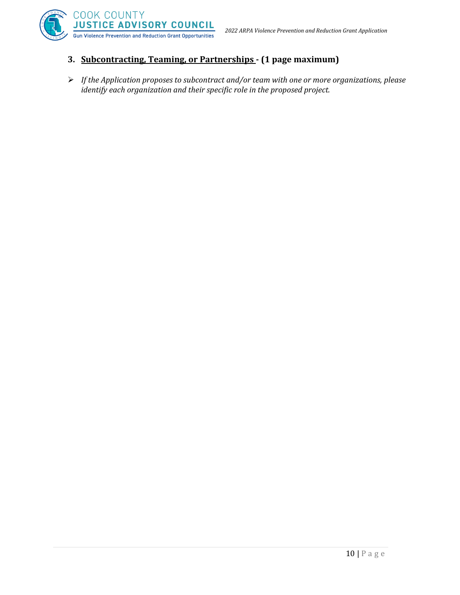



# **3. Subcontracting, Teaming, or Partnerships - (1 page maximum)**

➢ *If the Application proposes to subcontract and/or team with one or more organizations, please identify each organization and their specific role in the proposed project.*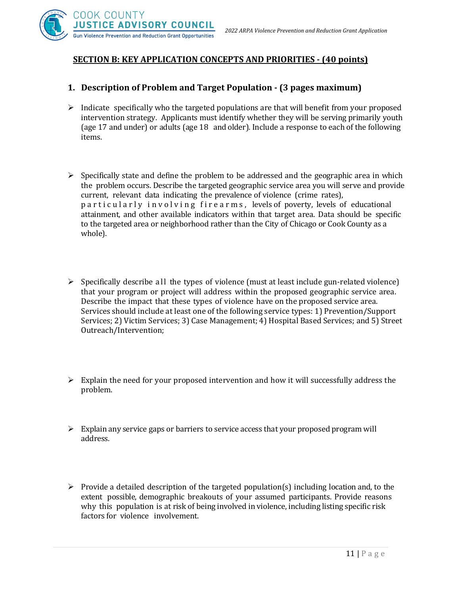

## **SECTION B: KEY APPLICATION CONCEPTS AND PRIORITIES - (40 points)**

#### **1. Description of Problem and Target Population - (3 pages maximum)**

- ➢ Indicate specifically who the targeted populations are that will benefit from your proposed intervention strategy. Applicants must identify whether they will be serving primarily youth (age 17 and under) or adults (age 18 and older). Include a response to each of the following items.
- $\triangleright$  Specifically state and define the problem to be addressed and the geographic area in which the problem occurs. Describe the targeted geographic service area you will serve and provide current, relevant data indicating the prevalence of violence (crime rates), particularly involving firearms, levels of poverty, levels of educational attainment, and other available indicators within that target area. Data should be specific to the targeted area or neighborhood rather than the City of Chicago or Cook County as a whole).
- $\triangleright$  Specifically describe all the types of violence (must at least include gun-related violence) that your program or project will address within the proposed geographic service area. Describe the impact that these types of violence have on the proposed service area. Services should include at least one of the following service types: 1) Prevention/Support Services; 2) Victim Services; 3) Case Management; 4) Hospital Based Services; and 5) Street Outreach/Intervention;
- ➢ Explain the need for your proposed intervention and how it will successfully address the problem.
- $\triangleright$  Explain any service gaps or barriers to service access that your proposed program will address.
- $\triangleright$  Provide a detailed description of the targeted population(s) including location and, to the extent possible, demographic breakouts of your assumed participants. Provide reasons why this population is at risk of being involved in violence, including listing specific risk factors for violence involvement.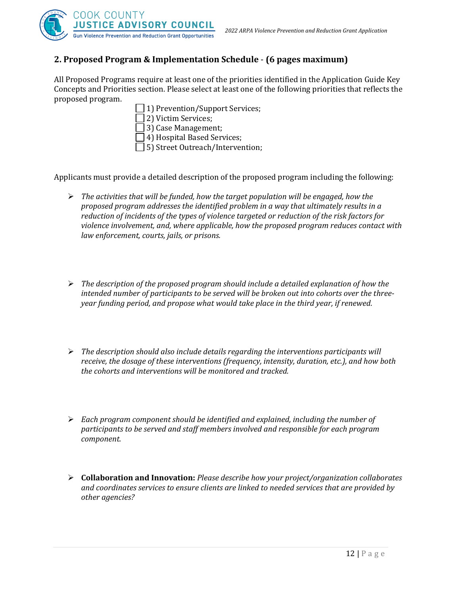

## **2. Proposed Program & Implementation Schedule** - **(6 pages maximum)**

All Proposed Programs require at least one of the priorities identified in the Application Guide Key Concepts and Priorities section. Please select at least one of the following priorities that reflects the proposed program.

- 1) Prevention/Support Services;
- 2) Victim Services;
- 3) Case Management;
- 4) Hospital Based Services;
- 5) Street Outreach/Intervention;

Applicants must provide a detailed description of the proposed program including the following:

- ➢ *The activities that will be funded, how the target population will be engaged, how the proposed program addresses the identified problem in a way that ultimately results in a reduction of incidents of the types of violence targeted or reduction of the risk factors for violence involvement, and, where applicable, how the proposed program reduces contact with law enforcement, courts, jails, or prisons.*
- ➢ *The description of the proposed program should include a detailed explanation of how the intended number of participants to be served will be broken out into cohorts over the threeyear funding period, and propose what would take place in the third year, if renewed.*
- ➢ *The description should also include details regarding the interventions participants will receive, the dosage of these interventions (frequency, intensity, duration, etc.), and how both the cohorts and interventions will be monitored and tracked.*
- ➢ *Each program component should be identified and explained, including the number of participants to be served and staff members involved and responsible for each program component.*
- ➢ **Collaboration and Innovation:** *Please describe how your project/organization collaborates and coordinates services to ensure clients are linked to needed services that are provided by other agencies?*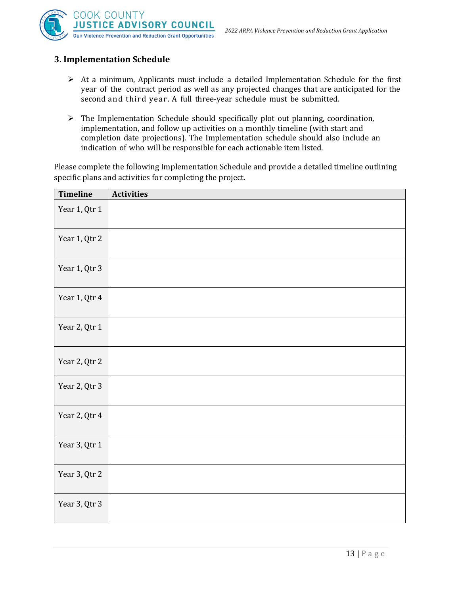



## **3. Implementation Schedule**

- $\triangleright$  At a minimum, Applicants must include a detailed Implementation Schedule for the first year of the contract period as well as any projected changes that are anticipated for the second and third year . A full three-year schedule must be submitted.
- ➢ The Implementation Schedule should specifically plot out planning, coordination, implementation, and follow up activities on a monthly timeline (with start and completion date projections). The Implementation schedule should also include an indication of who will be responsible for each actionable item listed.

Please complete the following Implementation Schedule and provide a detailed timeline outlining specific plans and activities for completing the project.

| Timeline      | <b>Activities</b> |
|---------------|-------------------|
| Year 1, Qtr 1 |                   |
| Year 1, Qtr 2 |                   |
| Year 1, Qtr 3 |                   |
| Year 1, Qtr 4 |                   |
| Year 2, Qtr 1 |                   |
| Year 2, Qtr 2 |                   |
| Year 2, Qtr 3 |                   |
| Year 2, Qtr 4 |                   |
| Year 3, Qtr 1 |                   |
| Year 3, Qtr 2 |                   |
| Year 3, Qtr 3 |                   |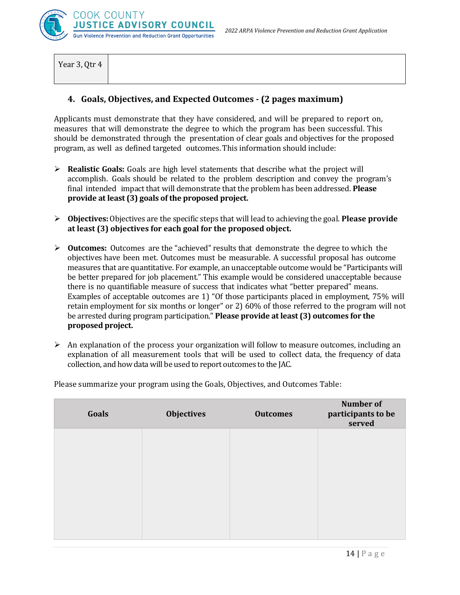

Year 3, Qtr 4

#### **4. Goals, Objectives, and Expected Outcomes - (2 pages maximum)**

Applicants must demonstrate that they have considered, and will be prepared to report on, measures that will demonstrate the degree to which the program has been successful. This should be demonstrated through the presentation of clear goals and objectives for the proposed program, as well as defined targeted outcomes. This information should include:

- ➢ **Realistic Goals:** Goals are high level statements that describe what the project will accomplish. Goals should be related to the problem description and convey the program's final intended impact that will demonstrate that the problem has been addressed. **Please provide at least (3) goals of the proposed project.**
- ➢ **Objectives:** Objectives are the specific steps that will lead to achieving the goal. **Please provide at least (3) objectives for each goal for the proposed object.**
- ➢ **Outcomes:** Outcomes are the "achieved" results that demonstrate the degree to which the objectives have been met. Outcomes must be measurable. A successful proposal has outcome measures that are quantitative. For example, an unacceptable outcome would be "Participants will be better prepared for job placement." This example would be considered unacceptable because there is no quantifiable measure of success that indicates what "better prepared" means. Examples of acceptable outcomes are 1) "Of those participants placed in employment, 75% will retain employment for six months or longer" or 2) 60% of those referred to the program will not be arrested during program participation." **Please provide at least (3) outcomes for the proposed project.**
- $\triangleright$  An explanation of the process your organization will follow to measure outcomes, including an explanation of all measurement tools that will be used to collect data, the frequency of data collection, and how data will be used to report outcomes to the JAC.

| Goals | <b>Objectives</b> | <b>Outcomes</b> | <b>Number of</b><br>participants to be<br>served |
|-------|-------------------|-----------------|--------------------------------------------------|
|       |                   |                 |                                                  |
|       |                   |                 |                                                  |
|       |                   |                 |                                                  |
|       |                   |                 |                                                  |

Please summarize your program using the Goals, Objectives, and Outcomes Table: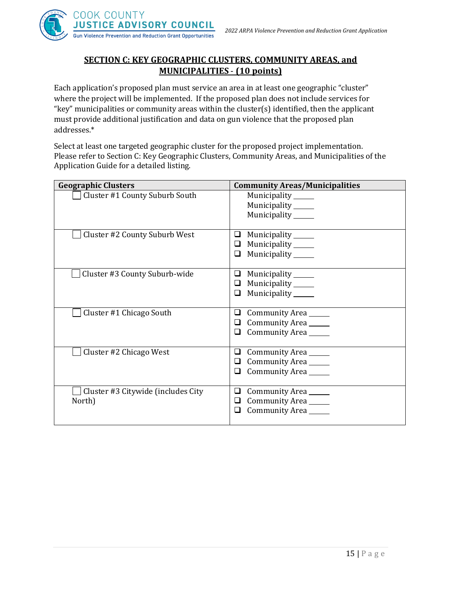

## **SECTION C: KEY GEOGRAPHIC CLUSTERS, COMMUNITY AREAS, and MUNICIPALITIES** - **(10 points)**

Each application's proposed plan must service an area in at least one geographic "cluster" where the project will be implemented. If the proposed plan does not include services for "key" municipalities or community areas within the cluster(s) identified, then the applicant must provide additional justification and data on gun violence that the proposed plan addresses.\*

Select at least one targeted geographic cluster for the proposed project implementation. Please refer to Section C: Key Geographic Clusters, Community Areas, and Municipalities of the Application Guide for a detailed listing.

| <b>Geographic Clusters</b>                   | <b>Community Areas/Municipalities</b>                                                       |  |  |
|----------------------------------------------|---------------------------------------------------------------------------------------------|--|--|
| Cluster #1 County Suburb South               | Municipality _______<br>Municipality _____<br>Municipality ______                           |  |  |
| Cluster #2 County Suburb West                | Municipality _______<br>⊔<br>Municipality ______<br>□<br>Municipality ______<br>❏           |  |  |
| Cluster #3 County Suburb-wide                | Municipality _______<br>⊔<br>Municipality <sub>_____</sub><br>⊔<br>Municipality ______<br>❏ |  |  |
| Cluster #1 Chicago South                     | Community Area<br>⊔<br>Community Area<br>⊔<br>Community Area<br>❏                           |  |  |
| Cluster #2 Chicago West                      | Community Area<br>⊔<br>Community Area<br>⊔<br>Community Area<br>⊔                           |  |  |
| Cluster #3 Citywide (includes City<br>North) | Community Area<br>❏<br>Community Area<br>❏<br>Community Area<br>❏                           |  |  |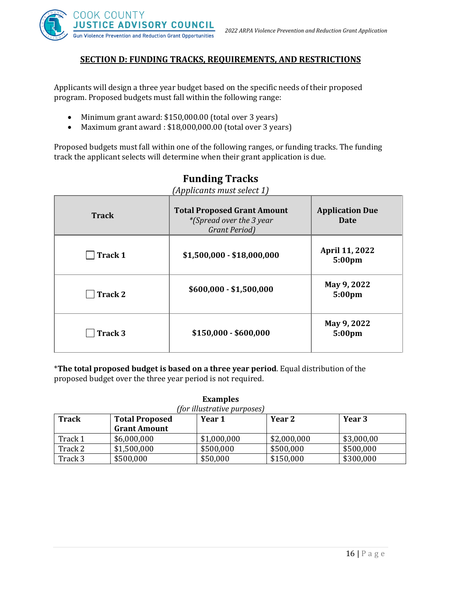

#### **SECTION D: FUNDING TRACKS, REQUIREMENTS, AND RESTRICTIONS**

Applicants will design a three year budget based on the specific needs of their proposed program. Proposed budgets must fall within the following range:

- Minimum grant award: \$150,000.00 (total over 3 years)
- Maximum grant award : \$18,000,000.00 (total over 3 years)

Proposed budgets must fall within one of the following ranges, or funding tracks. The funding track the applicant selects will determine when their grant application is due.

| <b>Track</b>   | <b>Total Proposed Grant Amount</b><br><i>*(Spread over the 3 year</i> )<br>Grant Period) | <b>Application Due</b><br>Date    |
|----------------|------------------------------------------------------------------------------------------|-----------------------------------|
| <b>Track 1</b> | $$1,500,000 - $18,000,000$                                                               | April 11, 2022<br>5:00pm          |
| <b>Track 2</b> | $$600,000 - $1,500,000$                                                                  | May 9, 2022<br>5:00pm             |
| Track 3        | $$150,000 - $600,000$                                                                    | May 9, 2022<br>5:00 <sub>pm</sub> |

# **Funding Tracks**

*(Applicants must select 1)*

\***The total proposed budget is based on a three year period**. Equal distribution of the proposed budget over the three year period is not required.

**Examples** 

| (for illustrative purposes)                                         |                     |             |             |            |
|---------------------------------------------------------------------|---------------------|-------------|-------------|------------|
| <b>Track</b><br>Year 3<br>Year 2<br><b>Total Proposed</b><br>Year 1 |                     |             |             |            |
|                                                                     | <b>Grant Amount</b> |             |             |            |
| Track 1                                                             | \$6,000,000         | \$1,000,000 | \$2,000,000 | \$3,000,00 |
| Track 2                                                             | \$1,500,000         | \$500,000   | \$500,000   | \$500,000  |
| Track 3                                                             | \$500,000           | \$50,000    | \$150,000   | \$300,000  |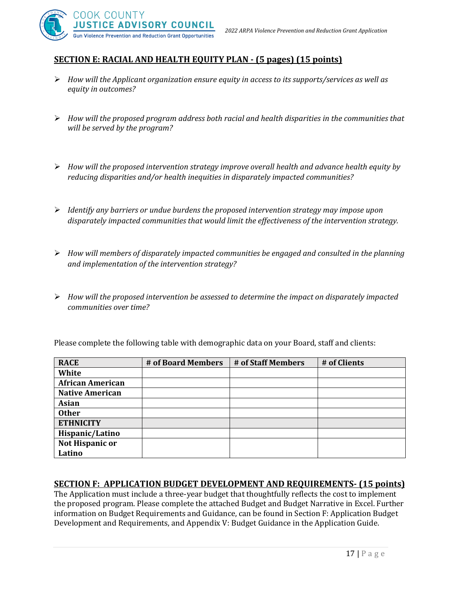

## **SECTION E: RACIAL AND HEALTH EQUITY PLAN - (5 pages) (15 points)**

- ➢ *How will the Applicant organization ensure equity in access to its supports/services as well as equity in outcomes?*
- ➢ *How will the proposed program address both racial and health disparities in the communities that will be served by the program?*
- ➢ *How will the proposed intervention strategy improve overall health and advance health equity by reducing disparities and/or health inequities in disparately impacted communities?*
- ➢ *Identify any barriers or undue burdens the proposed intervention strategy may impose upon disparately impacted communities that would limit the effectiveness of the intervention strategy.*
- ➢ *How will members of disparately impacted communities be engaged and consulted in the planning and implementation of the intervention strategy?*
- ➢ *How will the proposed intervention be assessed to determine the impact on disparately impacted communities over time?*

Please complete the following table with demographic data on your Board, staff and clients:

| <b>RACE</b>             | # of Board Members | # of Staff Members | # of Clients |
|-------------------------|--------------------|--------------------|--------------|
| White                   |                    |                    |              |
| <b>African American</b> |                    |                    |              |
| <b>Native American</b>  |                    |                    |              |
| <b>Asian</b>            |                    |                    |              |
| <b>Other</b>            |                    |                    |              |
| <b>ETHNICITY</b>        |                    |                    |              |
| Hispanic/Latino         |                    |                    |              |
| Not Hispanic or         |                    |                    |              |
| Latino                  |                    |                    |              |

#### **SECTION F: APPLICATION BUDGET DEVELOPMENT AND REQUIREMENTS- (15 points)**

The Application must include a three-year budget that thoughtfully reflects the cost to implement the proposed program. Please complete the attached Budget and Budget Narrative in Excel. Further information on Budget Requirements and Guidance, can be found in Section F: Application Budget Development and Requirements, and Appendix V: Budget Guidance in the Application Guide.